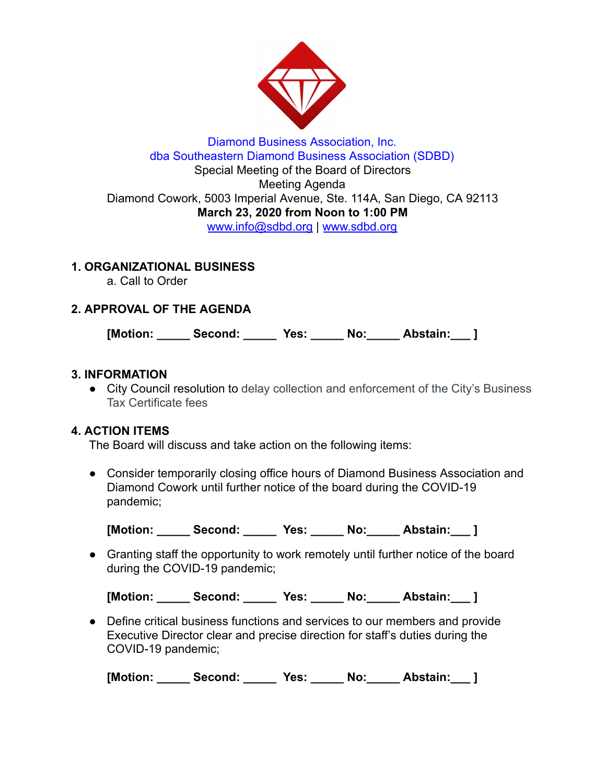

## Diamond Business Association, Inc. dba Southeastern Diamond Business Association (SDBD) Special Meeting of the Board of Directors Meeting Agenda Diamond Cowork, 5003 Imperial Avenue, Ste. 114A, San Diego, CA 92113 **March 23, 2020 from Noon to 1:00 PM**  www.info@sdbd.org | [www.sdbd.org](http://www.sdbd.org/)

# **1. ORGANIZATIONAL BUSINESS**

a. Call to Order

# **2. APPROVAL OF THE AGENDA**

**[Motion: \_\_\_\_\_ Second: \_\_\_\_\_ Yes: \_\_\_\_\_ No:\_\_\_\_\_ Abstain:\_\_\_ ]** 

## **3. INFORMATION**

● City Council resolution to delay collection and enforcement of the City's Business Tax Certificate fees

## **4. ACTION ITEMS**

The Board will discuss and take action on the following items:

● Consider temporarily closing office hours of Diamond Business Association and Diamond Cowork until further notice of the board during the COVID-19 pandemic;

[Motion: Second: Yes: No: Abstain: ]

● Granting staff the opportunity to work remotely until further notice of the board during the COVID-19 pandemic;

[Motion: Second: Yes: No: Abstain: ]

● Define critical business functions and services to our members and provide Executive Director clear and precise direction for staff's duties during the COVID-19 pandemic;

**[Motion: \_\_\_\_\_ Second: \_\_\_\_\_ Yes: \_\_\_\_\_ No:\_\_\_\_\_ Abstain:\_\_\_ ]**